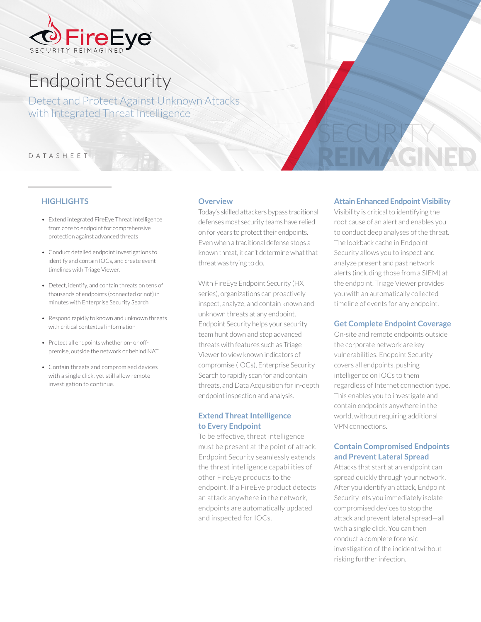

# Endpoint Security

Detect and Protect Against Unknown Attacks with Integrated Threat Intelligence

#### DATASHEET

# **HIGHLIGHTS**

- Extend integrated FireEye Threat Intelligence from core to endpoint for comprehensive protection against advanced threats
- Conduct detailed endpoint investigations to identify and contain IOCs, and create event timelines with Triage Viewer.
- Detect, identify, and contain threats on tens of thousands of endpoints (connected or not) in minutes with Enterprise Security Search
- Respond rapidly to known and unknown threats with critical contextual information
- Protect all endpoints whether on- or offpremise, outside the network or behind NAT
- Contain threats and compromised devices with a single click, yet still allow remote investigation to continue.

#### **Overview**

Today's skilled attackers bypass traditional defenses most security teams have relied on for years to protect their endpoints. Even when a traditional defense stops a known threat, it can't determine what that threat was trying to do.

With FireEye Endpoint Security (HX series), organizations can proactively inspect, analyze, and contain known and unknown threats at any endpoint. Endpoint Security helps your security team hunt down and stop advanced threats with features such as Triage Viewer to view known indicators of compromise (IOCs), Enterprise Security Search to rapidly scan for and contain threats, and Data Acquisition for in-depth endpoint inspection and analysis.

### **Extend Threat Intelligence to Every Endpoint**

To be effective, threat intelligence must be present at the point of attack. Endpoint Security seamlessly extends the threat intelligence capabilities of other FireEye products to the endpoint. If a FireEye product detects an attack anywhere in the network, endpoints are automatically updated and inspected for IOCs.

#### **Attain Enhanced Endpoint Visibility**

REIM AGNED

SECURITY

Visibility is critical to identifying the root cause of an alert and enables you to conduct deep analyses of the threat. The lookback cache in Endpoint Security allows you to inspect and analyze present and past network alerts (including those from a SIEM) at the endpoint. Triage Viewer provides you with an automatically collected timeline of events for any endpoint.

#### **Get Complete Endpoint Coverage**

On-site and remote endpoints outside the corporate network are key vulnerabilities. Endpoint Security covers all endpoints, pushing intelligence on IOCs to them regardless of Internet connection type. This enables you to investigate and contain endpoints anywhere in the world, without requiring additional VPN connections.

# **Contain Compromised Endpoints and Prevent Lateral Spread**

Attacks that start at an endpoint can spread quickly through your network. After you identify an attack, Endpoint Security lets you immediately isolate compromised devices to stop the attack and prevent lateral spread—all with a single click. You can then conduct a complete forensic investigation of the incident without risking further infection.